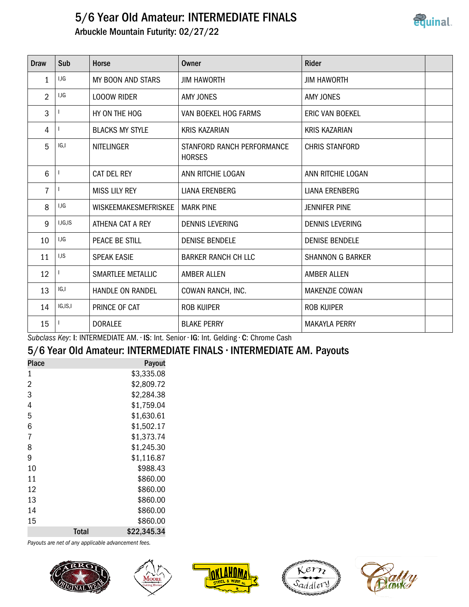## 5/6 Year Old Amateur: INTERMEDIATE FINALS Arbuckle Mountain Futurity: 02/27/22



| Draw           | Sub       | <b>Horse</b>                | Owner                                       | <b>Rider</b>            |  |
|----------------|-----------|-----------------------------|---------------------------------------------|-------------------------|--|
| 1              | I,IG      | MY BOON AND STARS           | <b>JIM HAWORTH</b>                          | <b>JIM HAWORTH</b>      |  |
| $\overline{2}$ | I,IG      | <b>LOOOW RIDER</b>          | <b>AMY JONES</b>                            | AMY JONES               |  |
| 3              |           | HY ON THE HOG               | VAN BOEKEL HOG FARMS                        | <b>ERIC VAN BOEKEL</b>  |  |
| 4              |           | <b>BLACKS MY STYLE</b>      | <b>KRIS KAZARIAN</b>                        | <b>KRIS KAZARIAN</b>    |  |
| 5              | IG,I      | <b>NITELINGER</b>           | STANFORD RANCH PERFORMANCE<br><b>HORSES</b> | <b>CHRIS STANFORD</b>   |  |
| 6              |           | CAT DEL REY                 | ANN RITCHIE LOGAN                           | ANN RITCHIE LOGAN       |  |
| $\overline{7}$ |           | <b>MISS LILY REY</b>        | LIANA ERENBERG                              | LIANA ERENBERG          |  |
| 8              | I,IG      | <b>WISKEEMAKESMEFRISKEE</b> | <b>MARK PINE</b>                            | <b>JENNIFER PINE</b>    |  |
| 9              | I, IG, IS | ATHENA CAT A REY            | <b>DENNIS LEVERING</b>                      | <b>DENNIS LEVERING</b>  |  |
| 10             | I,IG      | PEACE BE STILL              | <b>DENISE BENDELE</b>                       | <b>DENISE BENDELE</b>   |  |
| 11             | I,IS      | <b>SPEAK EASIE</b>          | <b>BARKER RANCH CH LLC</b>                  | <b>SHANNON G BARKER</b> |  |
| 12             |           | SMARTLEE METALLIC           | <b>AMBER ALLEN</b>                          | <b>AMBER ALLEN</b>      |  |
| 13             | IG,I      | <b>HANDLE ON RANDEL</b>     | COWAN RANCH, INC.                           | <b>MAKENZIE COWAN</b>   |  |
| 14             | IG, IS, I | PRINCE OF CAT               | <b>ROB KUIPER</b>                           | <b>ROB KUIPER</b>       |  |
| 15             |           | <b>DORALEE</b>              | <b>BLAKE PERRY</b>                          | <b>MAKAYLA PERRY</b>    |  |

Subclass Key: I: INTERMEDIATE AM. • IS: Int. Senior • IG: Int. Gelding • C: Chrome Cash

## 5/6 Year Old Amateur: INTERMEDIATE FINALS • INTERMEDIATE AM. Payouts

| <b>Place</b>   |              | Payout      |
|----------------|--------------|-------------|
| 1              |              | \$3,335.08  |
| $\overline{2}$ |              | \$2,809.72  |
| 3              |              | \$2,284.38  |
| 4              |              | \$1,759.04  |
| 5              |              | \$1,630.61  |
| 6              |              | \$1,502.17  |
| 7              |              | \$1,373.74  |
| 8              |              | \$1,245.30  |
| 9              |              | \$1,116.87  |
| 10             |              | \$988.43    |
| 11             |              | \$860.00    |
| 12             |              | \$860.00    |
| 13             |              | \$860.00    |
| 14             |              | \$860.00    |
| 15             |              | \$860.00    |
|                | <b>Total</b> | \$22,345.34 |

Payouts are net of any applicable advancement fees.